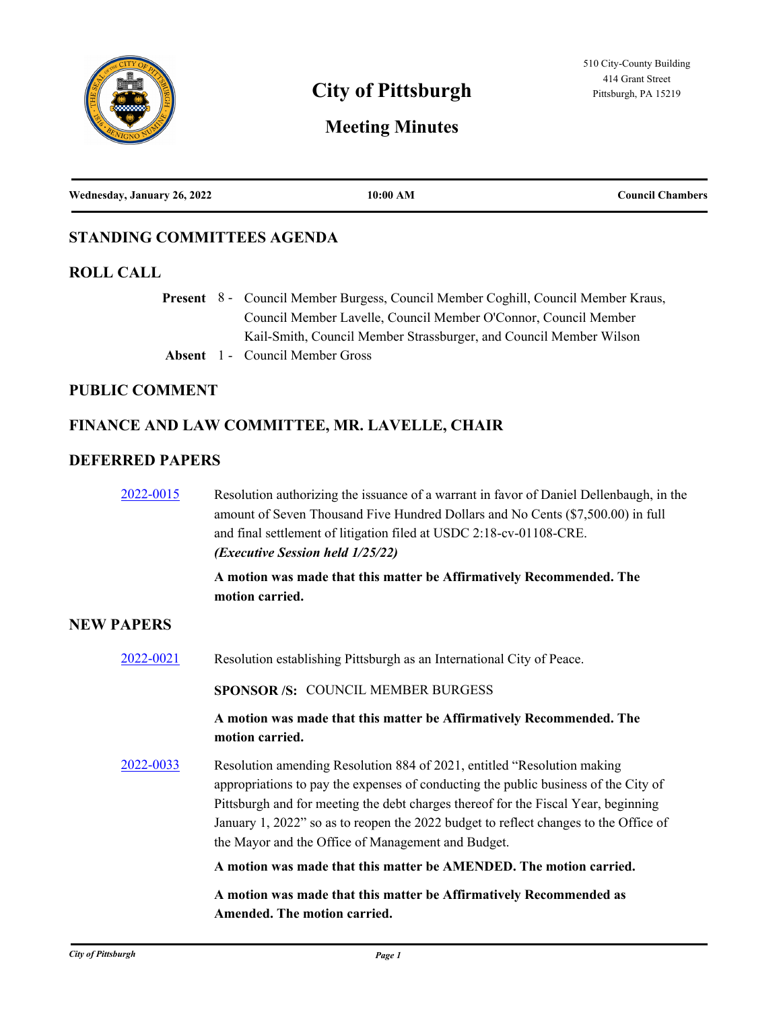

# **City of Pittsburgh** Pittsburgh, PA 15219

# **Meeting Minutes**

| Wednesday, January 26, 2022<br>10:00 AM<br><b>Council Chambers</b> |  |  |  |
|--------------------------------------------------------------------|--|--|--|
|--------------------------------------------------------------------|--|--|--|

### **STANDING COMMITTEES AGENDA**

#### **ROLL CALL**

Present 8 - Council Member Burgess, Council Member Coghill, Council Member Kraus, Council Member Lavelle, Council Member O'Connor, Council Member Kail-Smith, Council Member Strassburger, and Council Member Wilson **Absent** 1 - Council Member Gross

# **PUBLIC COMMENT**

# **FINANCE AND LAW COMMITTEE, MR. LAVELLE, CHAIR**

#### **DEFERRED PAPERS**

| 2022-0015         | Resolution authorizing the issuance of a warrant in favor of Daniel Dellenbaugh, in the<br>amount of Seven Thousand Five Hundred Dollars and No Cents (\$7,500.00) in full<br>and final settlement of litigation filed at USDC 2:18-cv-01108-CRE.<br>(Executive Session held 1/25/22)                                                                                                              |
|-------------------|----------------------------------------------------------------------------------------------------------------------------------------------------------------------------------------------------------------------------------------------------------------------------------------------------------------------------------------------------------------------------------------------------|
|                   | A motion was made that this matter be Affirmatively Recommended. The<br>motion carried.                                                                                                                                                                                                                                                                                                            |
| <b>NEW PAPERS</b> |                                                                                                                                                                                                                                                                                                                                                                                                    |
| 2022-0021         | Resolution establishing Pittsburgh as an International City of Peace.                                                                                                                                                                                                                                                                                                                              |
|                   | <b>SPONSOR/S: COUNCIL MEMBER BURGESS</b>                                                                                                                                                                                                                                                                                                                                                           |
|                   | A motion was made that this matter be Affirmatively Recommended. The<br>motion carried.                                                                                                                                                                                                                                                                                                            |
| 2022-0033         | Resolution amending Resolution 884 of 2021, entitled "Resolution making<br>appropriations to pay the expenses of conducting the public business of the City of<br>Pittsburgh and for meeting the debt charges thereof for the Fiscal Year, beginning<br>January 1, 2022" so as to reopen the 2022 budget to reflect changes to the Office of<br>the Mayor and the Office of Management and Budget. |
|                   | A motion was made that this matter be AMENDED. The motion carried.                                                                                                                                                                                                                                                                                                                                 |
|                   | A motion was made that this matter be Affirmatively Recommended as                                                                                                                                                                                                                                                                                                                                 |

**Amended. The motion carried.**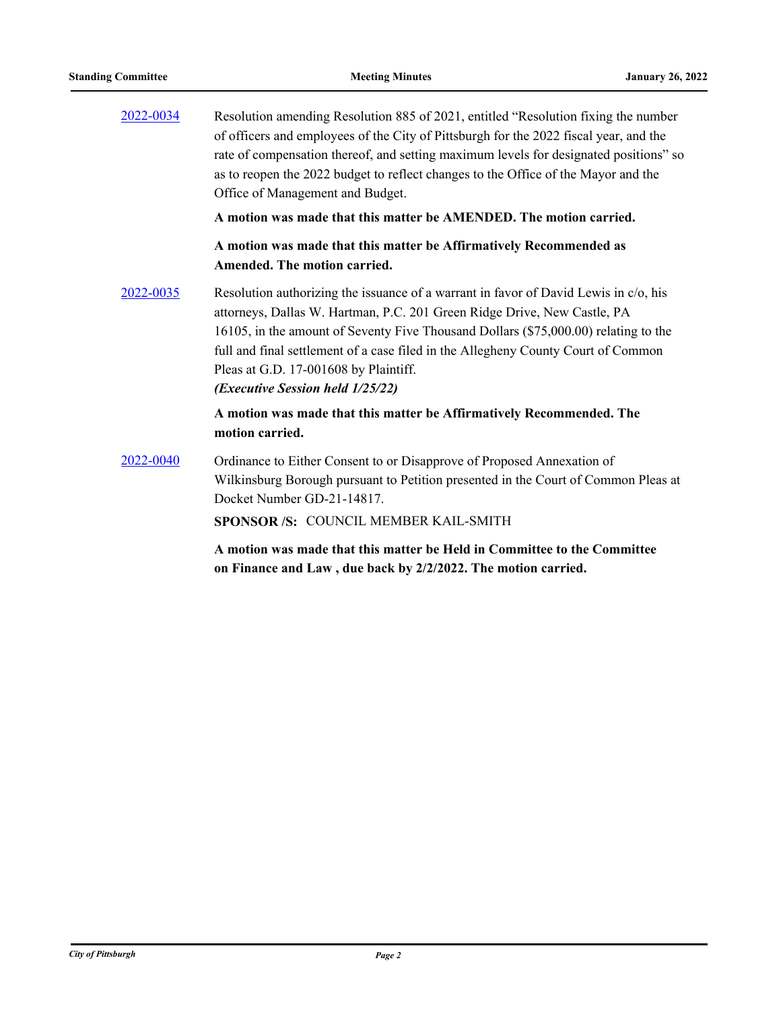| 2022-0034 | Resolution amending Resolution 885 of 2021, entitled "Resolution fixing the number<br>of officers and employees of the City of Pittsburgh for the 2022 fiscal year, and the<br>rate of compensation thereof, and setting maximum levels for designated positions" so<br>as to reopen the 2022 budget to reflect changes to the Office of the Mayor and the<br>Office of Management and Budget.                                     |
|-----------|------------------------------------------------------------------------------------------------------------------------------------------------------------------------------------------------------------------------------------------------------------------------------------------------------------------------------------------------------------------------------------------------------------------------------------|
|           | A motion was made that this matter be AMENDED. The motion carried.                                                                                                                                                                                                                                                                                                                                                                 |
|           | A motion was made that this matter be Affirmatively Recommended as<br>Amended. The motion carried.                                                                                                                                                                                                                                                                                                                                 |
| 2022-0035 | Resolution authorizing the issuance of a warrant in favor of David Lewis in c/o, his<br>attorneys, Dallas W. Hartman, P.C. 201 Green Ridge Drive, New Castle, PA<br>16105, in the amount of Seventy Five Thousand Dollars (\$75,000.00) relating to the<br>full and final settlement of a case filed in the Allegheny County Court of Common<br>Pleas at G.D. 17-001608 by Plaintiff.<br>( <i>Executive Session held 1/25/22</i> ) |
|           | A motion was made that this matter be Affirmatively Recommended. The<br>motion carried.                                                                                                                                                                                                                                                                                                                                            |
| 2022-0040 | Ordinance to Either Consent to or Disapprove of Proposed Annexation of<br>Wilkinsburg Borough pursuant to Petition presented in the Court of Common Pleas at<br>Docket Number GD-21-14817.<br>SPONSOR /S: COUNCIL MEMBER KAIL-SMITH                                                                                                                                                                                                |
|           | A motion was made that this matter be Held in Committee to the Committee                                                                                                                                                                                                                                                                                                                                                           |

**on Finance and Law , due back by 2/2/2022. The motion carried.**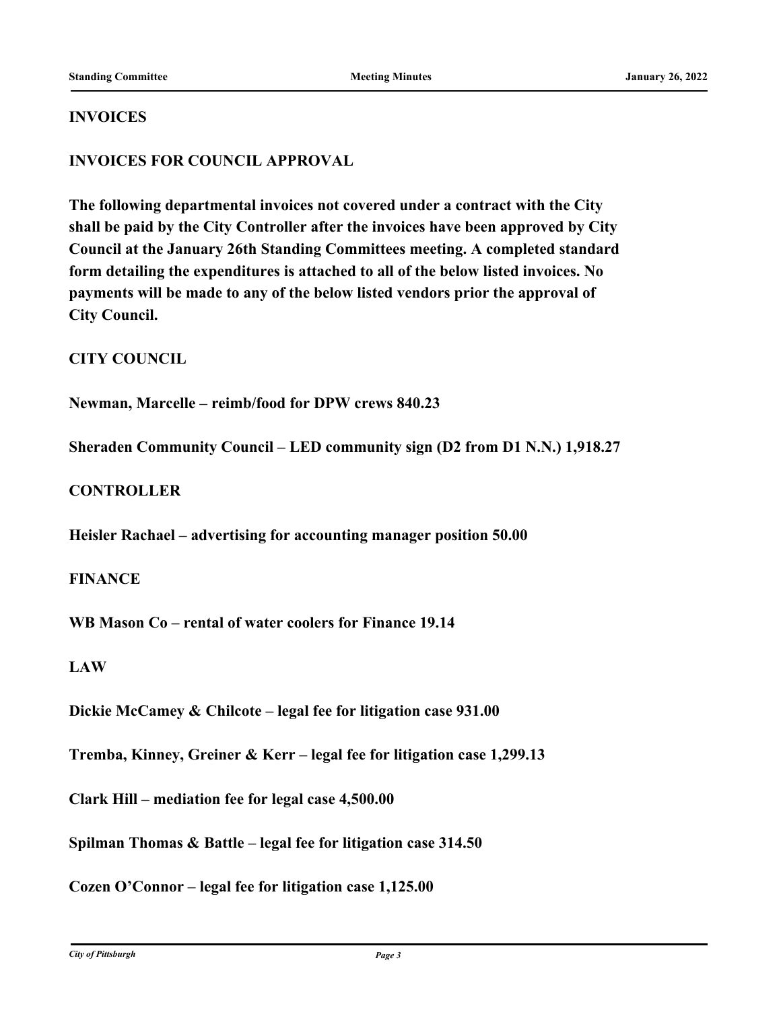#### **INVOICES**

#### **INVOICES FOR COUNCIL APPROVAL**

**The following departmental invoices not covered under a contract with the City shall be paid by the City Controller after the invoices have been approved by City Council at the January 26th Standing Committees meeting. A completed standard form detailing the expenditures is attached to all of the below listed invoices. No payments will be made to any of the below listed vendors prior the approval of City Council.**

#### **CITY COUNCIL**

**Newman, Marcelle – reimb/food for DPW crews 840.23**

**Sheraden Community Council – LED community sign (D2 from D1 N.N.) 1,918.27**

#### **CONTROLLER**

**Heisler Rachael – advertising for accounting manager position 50.00**

#### **FINANCE**

**WB Mason Co – rental of water coolers for Finance 19.14**

#### **LAW**

**Dickie McCamey & Chilcote – legal fee for litigation case 931.00**

**Tremba, Kinney, Greiner & Kerr – legal fee for litigation case 1,299.13**

**Clark Hill – mediation fee for legal case 4,500.00**

**Spilman Thomas & Battle – legal fee for litigation case 314.50**

**Cozen O'Connor – legal fee for litigation case 1,125.00**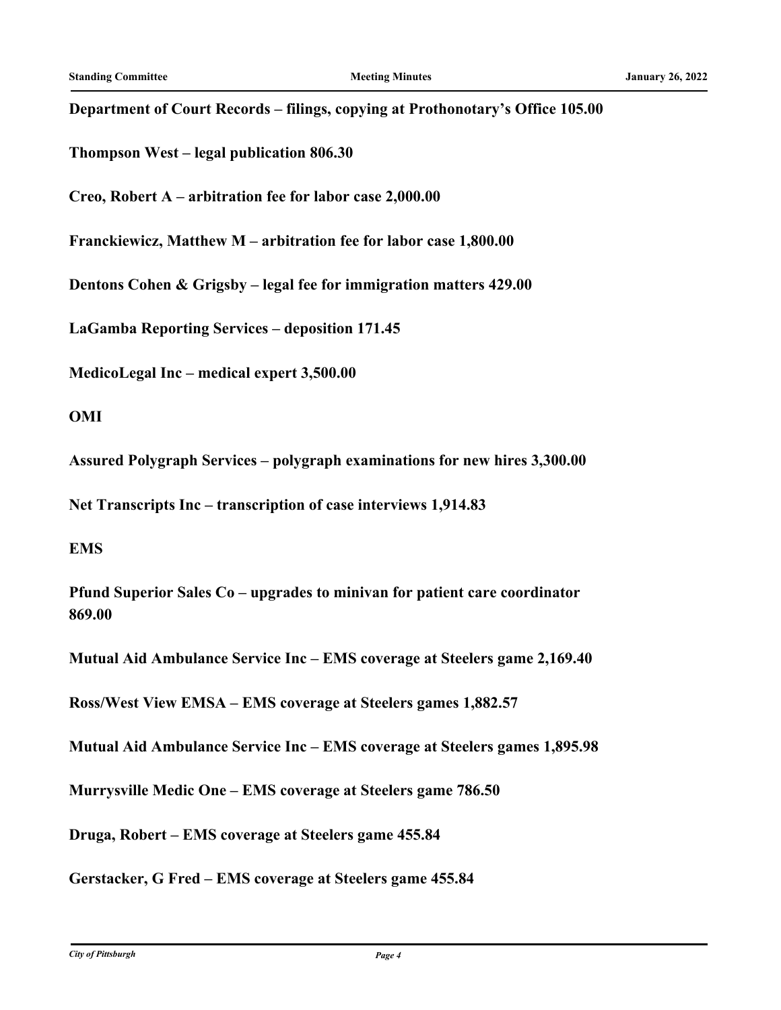## **Department of Court Records – filings, copying at Prothonotary's Office 105.00**

**Thompson West – legal publication 806.30**

**Creo, Robert A – arbitration fee for labor case 2,000.00**

**Franckiewicz, Matthew M – arbitration fee for labor case 1,800.00**

**Dentons Cohen & Grigsby – legal fee for immigration matters 429.00**

**LaGamba Reporting Services – deposition 171.45**

**MedicoLegal Inc – medical expert 3,500.00**

#### **OMI**

**Assured Polygraph Services – polygraph examinations for new hires 3,300.00**

**Net Transcripts Inc – transcription of case interviews 1,914.83**

#### **EMS**

**Pfund Superior Sales Co – upgrades to minivan for patient care coordinator 869.00**

**Mutual Aid Ambulance Service Inc – EMS coverage at Steelers game 2,169.40**

**Ross/West View EMSA – EMS coverage at Steelers games 1,882.57**

**Mutual Aid Ambulance Service Inc – EMS coverage at Steelers games 1,895.98**

**Murrysville Medic One – EMS coverage at Steelers game 786.50**

**Druga, Robert – EMS coverage at Steelers game 455.84**

**Gerstacker, G Fred – EMS coverage at Steelers game 455.84**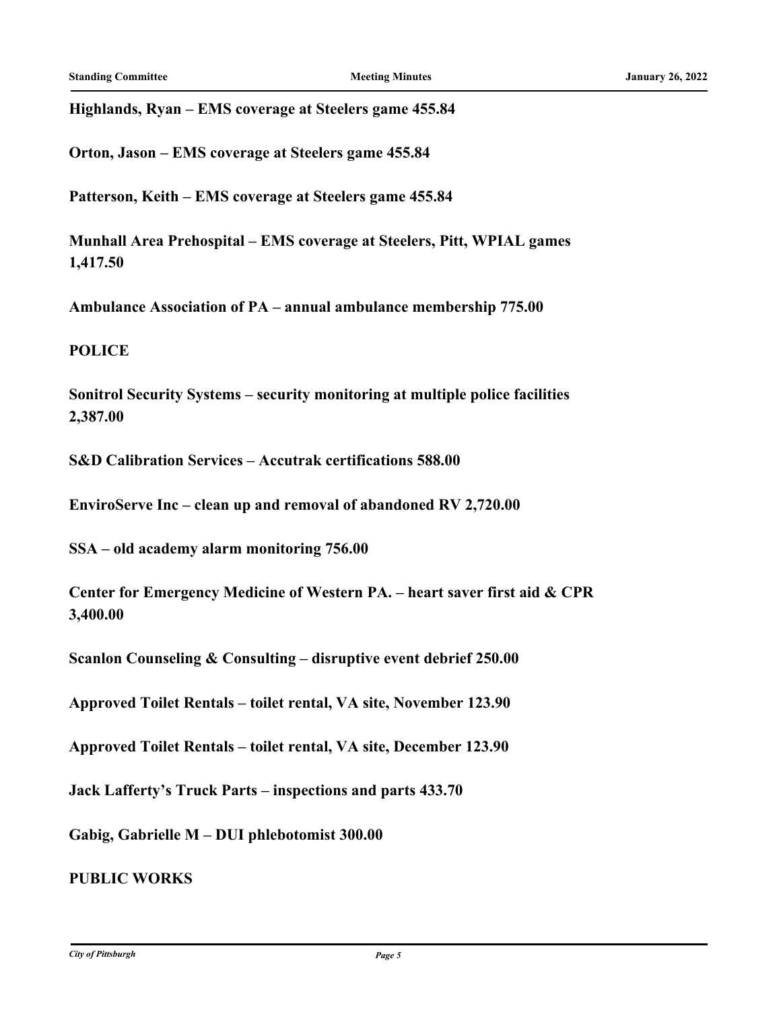**Highlands, Ryan – EMS coverage at Steelers game 455.84**

**Orton, Jason – EMS coverage at Steelers game 455.84**

**Patterson, Keith – EMS coverage at Steelers game 455.84**

**Munhall Area Prehospital – EMS coverage at Steelers, Pitt, WPIAL games 1,417.50**

**Ambulance Association of PA – annual ambulance membership 775.00**

**POLICE**

**Sonitrol Security Systems – security monitoring at multiple police facilities 2,387.00**

**S&D Calibration Services – Accutrak certifications 588.00**

**EnviroServe Inc – clean up and removal of abandoned RV 2,720.00**

**SSA – old academy alarm monitoring 756.00**

**Center for Emergency Medicine of Western PA. – heart saver first aid & CPR 3,400.00**

**Scanlon Counseling & Consulting – disruptive event debrief 250.00**

**Approved Toilet Rentals – toilet rental, VA site, November 123.90**

**Approved Toilet Rentals – toilet rental, VA site, December 123.90**

**Jack Lafferty's Truck Parts – inspections and parts 433.70**

**Gabig, Gabrielle M – DUI phlebotomist 300.00**

**PUBLIC WORKS**

*City of Pittsburgh Page 5*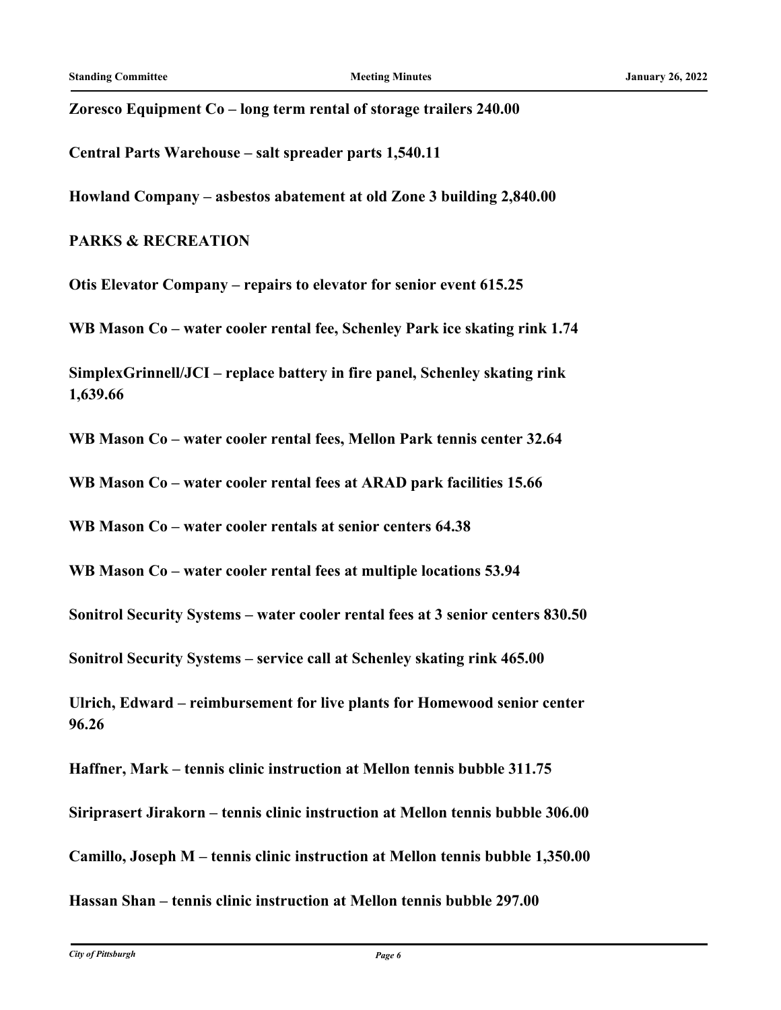**Zoresco Equipment Co – long term rental of storage trailers 240.00**

**Central Parts Warehouse – salt spreader parts 1,540.11**

**Howland Company – asbestos abatement at old Zone 3 building 2,840.00**

#### **PARKS & RECREATION**

**Otis Elevator Company – repairs to elevator for senior event 615.25**

**WB Mason Co – water cooler rental fee, Schenley Park ice skating rink 1.74**

**SimplexGrinnell/JCI – replace battery in fire panel, Schenley skating rink 1,639.66**

**WB Mason Co – water cooler rental fees, Mellon Park tennis center 32.64**

**WB Mason Co – water cooler rental fees at ARAD park facilities 15.66**

**WB Mason Co – water cooler rentals at senior centers 64.38**

**WB Mason Co – water cooler rental fees at multiple locations 53.94**

**Sonitrol Security Systems – water cooler rental fees at 3 senior centers 830.50**

**Sonitrol Security Systems – service call at Schenley skating rink 465.00**

**Ulrich, Edward – reimbursement for live plants for Homewood senior center 96.26**

**Haffner, Mark – tennis clinic instruction at Mellon tennis bubble 311.75**

**Siriprasert Jirakorn – tennis clinic instruction at Mellon tennis bubble 306.00**

**Camillo, Joseph M – tennis clinic instruction at Mellon tennis bubble 1,350.00**

**Hassan Shan – tennis clinic instruction at Mellon tennis bubble 297.00**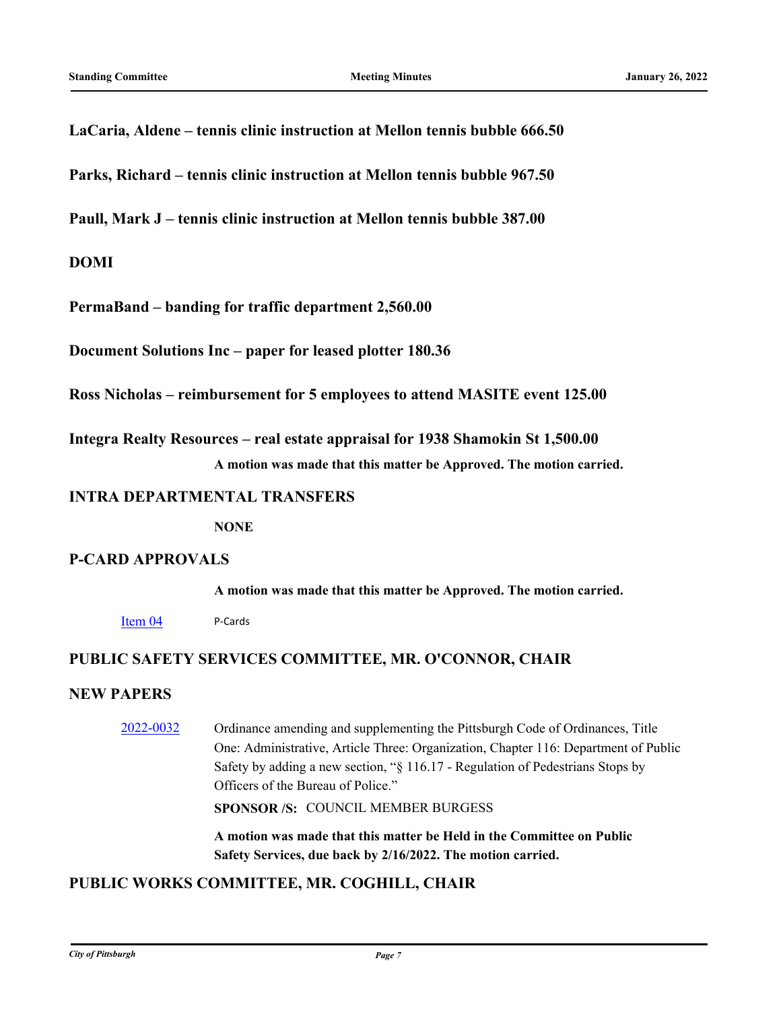#### **LaCaria, Aldene – tennis clinic instruction at Mellon tennis bubble 666.50**

**Parks, Richard – tennis clinic instruction at Mellon tennis bubble 967.50**

**Paull, Mark J – tennis clinic instruction at Mellon tennis bubble 387.00**

#### **DOMI**

**PermaBand – banding for traffic department 2,560.00**

**Document Solutions Inc – paper for leased plotter 180.36**

**Ross Nicholas – reimbursement for 5 employees to attend MASITE event 125.00**

**Integra Realty Resources – real estate appraisal for 1938 Shamokin St 1,500.00 A motion was made that this matter be Approved. The motion carried.**

#### **INTRA DEPARTMENTAL TRANSFERS**

**NONE**

#### **P-CARD APPROVALS**

**A motion was made that this matter be Approved. The motion carried.**

[Item 04](http://pittsburgh.legistar.com/gateway.aspx?m=l&id=/matter.aspx?key=27351) P-Cards

#### **PUBLIC SAFETY SERVICES COMMITTEE, MR. O'CONNOR, CHAIR**

#### **NEW PAPERS**

[2022-0032](http://pittsburgh.legistar.com/gateway.aspx?m=l&id=/matter.aspx?key=27324) Ordinance amending and supplementing the Pittsburgh Code of Ordinances, Title One: Administrative, Article Three: Organization, Chapter 116: Department of Public Safety by adding a new section, "§ 116.17 - Regulation of Pedestrians Stops by Officers of the Bureau of Police."

**SPONSOR /S:** COUNCIL MEMBER BURGESS

**A motion was made that this matter be Held in the Committee on Public Safety Services, due back by 2/16/2022. The motion carried.**

## **PUBLIC WORKS COMMITTEE, MR. COGHILL, CHAIR**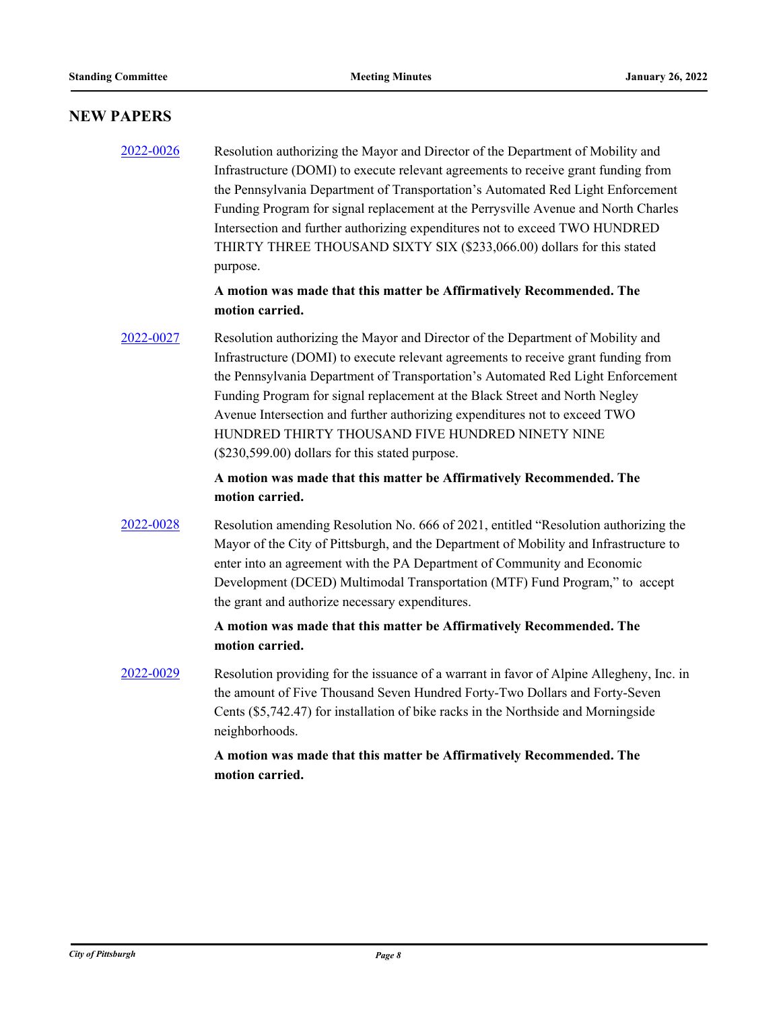#### **NEW PAPERS**

# [2022-0026](http://pittsburgh.legistar.com/gateway.aspx?m=l&id=/matter.aspx?key=27318) Resolution authorizing the Mayor and Director of the Department of Mobility and Infrastructure (DOMI) to execute relevant agreements to receive grant funding from the Pennsylvania Department of Transportation's Automated Red Light Enforcement Funding Program for signal replacement at the Perrysville Avenue and North Charles Intersection and further authorizing expenditures not to exceed TWO HUNDRED THIRTY THREE THOUSAND SIXTY SIX (\$233,066.00) dollars for this stated purpose.

#### **A motion was made that this matter be Affirmatively Recommended. The motion carried.**

# [2022-0027](http://pittsburgh.legistar.com/gateway.aspx?m=l&id=/matter.aspx?key=27319) Resolution authorizing the Mayor and Director of the Department of Mobility and Infrastructure (DOMI) to execute relevant agreements to receive grant funding from the Pennsylvania Department of Transportation's Automated Red Light Enforcement Funding Program for signal replacement at the Black Street and North Negley Avenue Intersection and further authorizing expenditures not to exceed TWO HUNDRED THIRTY THOUSAND FIVE HUNDRED NINETY NINE (\$230,599.00) dollars for this stated purpose.

#### **A motion was made that this matter be Affirmatively Recommended. The motion carried.**

# [2022-0028](http://pittsburgh.legistar.com/gateway.aspx?m=l&id=/matter.aspx?key=27320) Resolution amending Resolution No. 666 of 2021, entitled "Resolution authorizing the Mayor of the City of Pittsburgh, and the Department of Mobility and Infrastructure to enter into an agreement with the PA Department of Community and Economic Development (DCED) Multimodal Transportation (MTF) Fund Program," to accept the grant and authorize necessary expenditures.

#### **A motion was made that this matter be Affirmatively Recommended. The motion carried.**

[2022-0029](http://pittsburgh.legistar.com/gateway.aspx?m=l&id=/matter.aspx?key=27321) Resolution providing for the issuance of a warrant in favor of Alpine Allegheny, Inc. in the amount of Five Thousand Seven Hundred Forty-Two Dollars and Forty-Seven Cents (\$5,742.47) for installation of bike racks in the Northside and Morningside neighborhoods.

#### **A motion was made that this matter be Affirmatively Recommended. The motion carried.**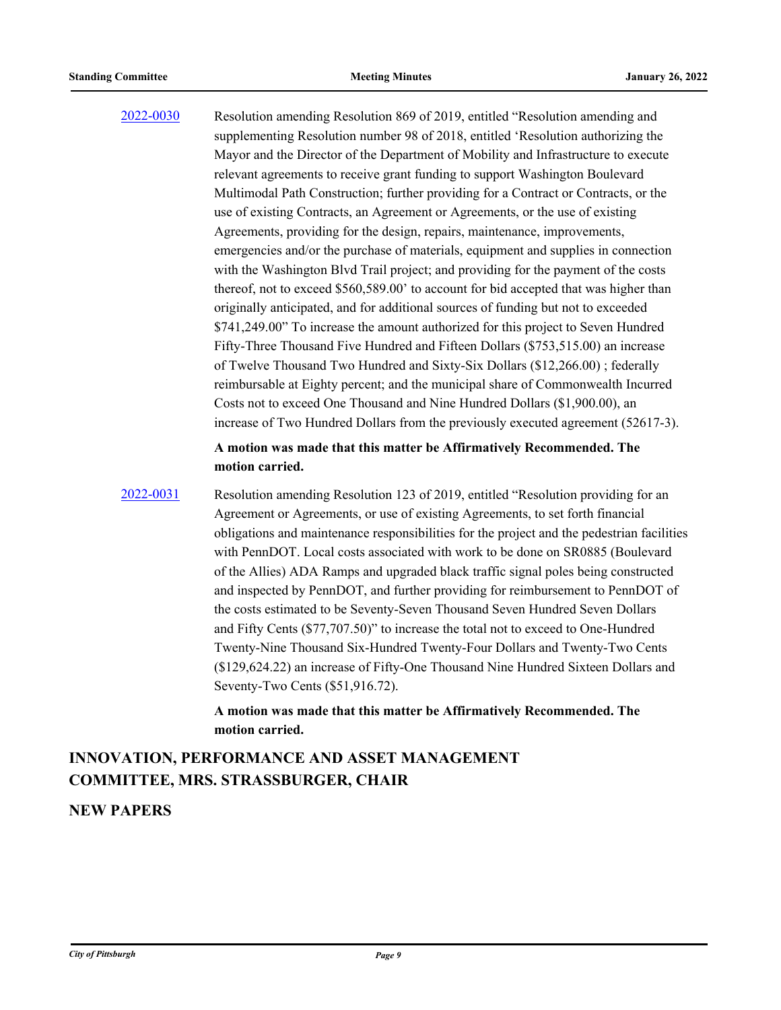[2022-0030](http://pittsburgh.legistar.com/gateway.aspx?m=l&id=/matter.aspx?key=27322) Resolution amending Resolution 869 of 2019, entitled "Resolution amending and supplementing Resolution number 98 of 2018, entitled 'Resolution authorizing the Mayor and the Director of the Department of Mobility and Infrastructure to execute relevant agreements to receive grant funding to support Washington Boulevard Multimodal Path Construction; further providing for a Contract or Contracts, or the use of existing Contracts, an Agreement or Agreements, or the use of existing Agreements, providing for the design, repairs, maintenance, improvements, emergencies and/or the purchase of materials, equipment and supplies in connection with the Washington Blvd Trail project; and providing for the payment of the costs thereof, not to exceed \$560,589.00' to account for bid accepted that was higher than originally anticipated, and for additional sources of funding but not to exceeded \$741,249.00" To increase the amount authorized for this project to Seven Hundred Fifty-Three Thousand Five Hundred and Fifteen Dollars (\$753,515.00) an increase of Twelve Thousand Two Hundred and Sixty-Six Dollars (\$12,266.00) ; federally reimbursable at Eighty percent; and the municipal share of Commonwealth Incurred Costs not to exceed One Thousand and Nine Hundred Dollars (\$1,900.00), an increase of Two Hundred Dollars from the previously executed agreement (52617-3).

#### **A motion was made that this matter be Affirmatively Recommended. The motion carried.**

[2022-0031](http://pittsburgh.legistar.com/gateway.aspx?m=l&id=/matter.aspx?key=27323) Resolution amending Resolution 123 of 2019, entitled "Resolution providing for an Agreement or Agreements, or use of existing Agreements, to set forth financial obligations and maintenance responsibilities for the project and the pedestrian facilities with PennDOT. Local costs associated with work to be done on SR0885 (Boulevard of the Allies) ADA Ramps and upgraded black traffic signal poles being constructed and inspected by PennDOT, and further providing for reimbursement to PennDOT of the costs estimated to be Seventy-Seven Thousand Seven Hundred Seven Dollars and Fifty Cents (\$77,707.50)" to increase the total not to exceed to One-Hundred Twenty-Nine Thousand Six-Hundred Twenty-Four Dollars and Twenty-Two Cents (\$129,624.22) an increase of Fifty-One Thousand Nine Hundred Sixteen Dollars and Seventy-Two Cents (\$51,916.72).

> **A motion was made that this matter be Affirmatively Recommended. The motion carried.**

# **INNOVATION, PERFORMANCE AND ASSET MANAGEMENT COMMITTEE, MRS. STRASSBURGER, CHAIR**

#### **NEW PAPERS**